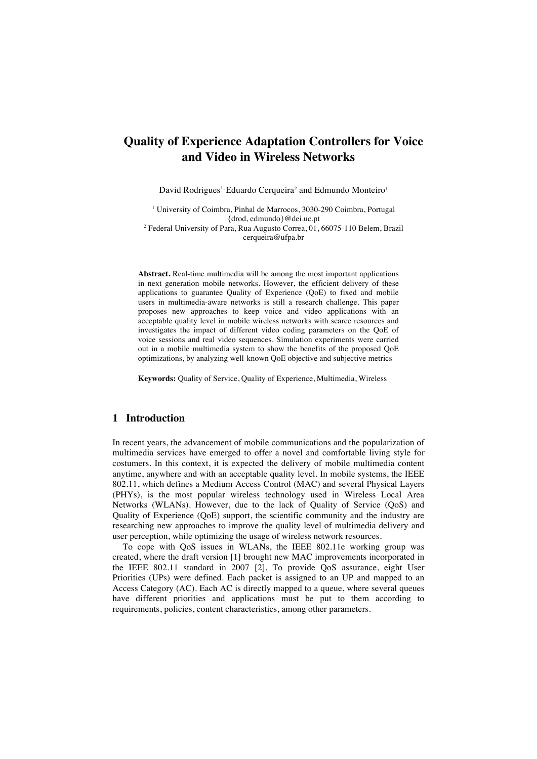# **Quality of Experience Adaptation Controllers for Voice and Video in Wireless Networks**

David Rodrigues<sup>1,</sup> Eduardo Cerqueira<sup>2</sup> and Edmundo Monteiro<sup>1</sup>

<sup>1</sup> University of Coimbra, Pinhal de Marrocos, 3030-290 Coimbra, Portugal {drod, edmundo}@dei.uc.pt

<sup>2</sup> Federal University of Para, Rua Augusto Correa, 01, 66075-110 Belem, Brazil cerqueira@ufpa.br

**Abstract.** Real-time multimedia will be among the most important applications in next generation mobile networks. However, the efficient delivery of these applications to guarantee Quality of Experience (QoE) to fixed and mobile users in multimedia-aware networks is still a research challenge. This paper proposes new approaches to keep voice and video applications with an acceptable quality level in mobile wireless networks with scarce resources and investigates the impact of different video coding parameters on the QoE of voice sessions and real video sequences. Simulation experiments were carried out in a mobile multimedia system to show the benefits of the proposed QoE optimizations, by analyzing well-known QoE objective and subjective metrics

**Keywords:** Quality of Service, Quality of Experience, Multimedia, Wireless

# **1 Introduction**

In recent years, the advancement of mobile communications and the popularization of multimedia services have emerged to offer a novel and comfortable living style for costumers. In this context, it is expected the delivery of mobile multimedia content anytime, anywhere and with an acceptable quality level. In mobile systems, the IEEE 802.11, which defines a Medium Access Control (MAC) and several Physical Layers (PHYs), is the most popular wireless technology used in Wireless Local Area Networks (WLANs). However, due to the lack of Quality of Service (QoS) and Quality of Experience (QoE) support, the scientific community and the industry are researching new approaches to improve the quality level of multimedia delivery and user perception, while optimizing the usage of wireless network resources.

To cope with QoS issues in WLANs, the IEEE 802.11e working group was created, where the draft version [1] brought new MAC improvements incorporated in the IEEE 802.11 standard in 2007 [2]. To provide QoS assurance, eight User Priorities (UPs) were defined. Each packet is assigned to an UP and mapped to an Access Category (AC). Each AC is directly mapped to a queue, where several queues have different priorities and applications must be put to them according to requirements, policies, content characteristics, among other parameters.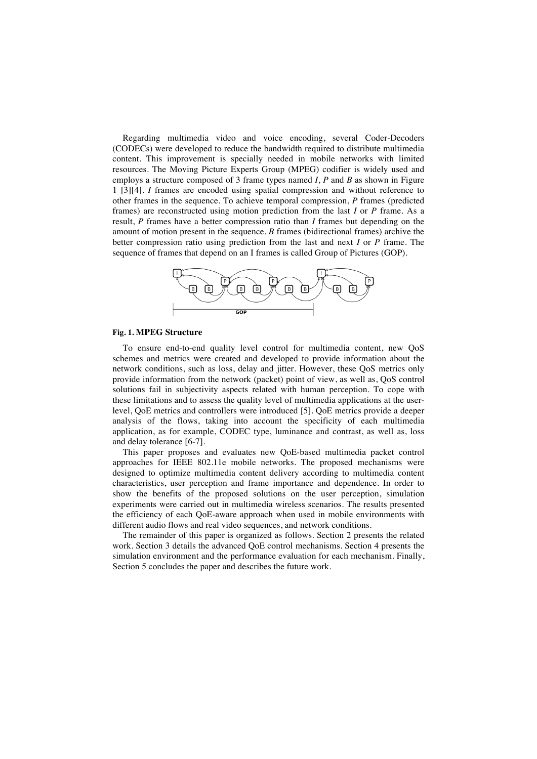Regarding multimedia video and voice encoding, several Coder-Decoders (CODECs) were developed to reduce the bandwidth required to distribute multimedia content. This improvement is specially needed in mobile networks with limited resources. The Moving Picture Experts Group (MPEG) codifier is widely used and employs a structure composed of 3 frame types named *I*, *P* and *B* as shown in Figure 1 [3][4]. *I* frames are encoded using spatial compression and without reference to other frames in the sequence. To achieve temporal compression, *P* frames (predicted frames) are reconstructed using motion prediction from the last *I* or *P* frame. As a result, *P* frames have a better compression ratio than *I* frames but depending on the amount of motion present in the sequence. *B* frames (bidirectional frames) archive the better compression ratio using prediction from the last and next *I* or *P* frame. The sequence of frames that depend on an I frames is called Group of Pictures (GOP).



#### **Fig. 1. MPEG Structure**

To ensure end-to-end quality level control for multimedia content, new QoS schemes and metrics were created and developed to provide information about the network conditions, such as loss, delay and jitter. However, these QoS metrics only provide information from the network (packet) point of view, as well as, QoS control solutions fail in subjectivity aspects related with human perception. To cope with these limitations and to assess the quality level of multimedia applications at the userlevel, QoE metrics and controllers were introduced [5]. QoE metrics provide a deeper analysis of the flows, taking into account the specificity of each multimedia application, as for example, CODEC type, luminance and contrast, as well as, loss and delay tolerance [6-7].

This paper proposes and evaluates new QoE-based multimedia packet control approaches for IEEE 802.11e mobile networks. The proposed mechanisms were designed to optimize multimedia content delivery according to multimedia content characteristics, user perception and frame importance and dependence. In order to show the benefits of the proposed solutions on the user perception, simulation experiments were carried out in multimedia wireless scenarios. The results presented the efficiency of each QoE-aware approach when used in mobile environments with different audio flows and real video sequences, and network conditions.

The remainder of this paper is organized as follows. Section 2 presents the related work. Section 3 details the advanced QoE control mechanisms. Section 4 presents the simulation environment and the performance evaluation for each mechanism. Finally, Section 5 concludes the paper and describes the future work.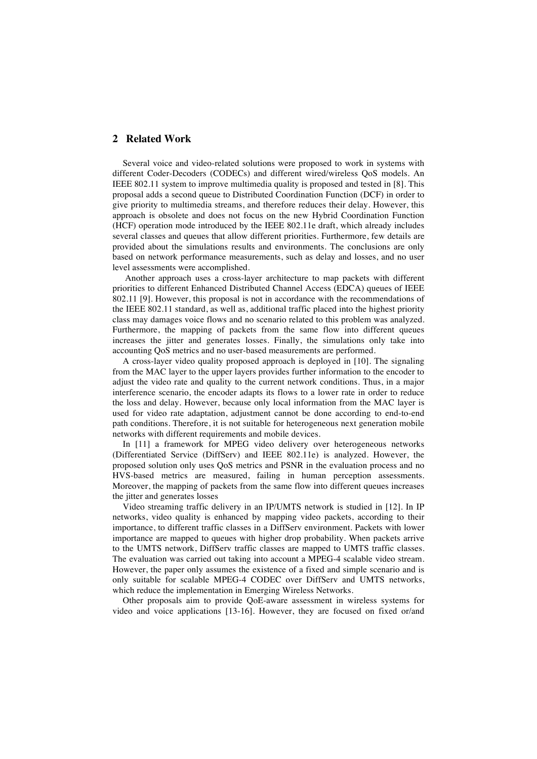## **2 Related Work**

Several voice and video-related solutions were proposed to work in systems with different Coder-Decoders (CODECs) and different wired/wireless QoS models. An IEEE 802.11 system to improve multimedia quality is proposed and tested in [8]. This proposal adds a second queue to Distributed Coordination Function (DCF) in order to give priority to multimedia streams, and therefore reduces their delay. However, this approach is obsolete and does not focus on the new Hybrid Coordination Function (HCF) operation mode introduced by the IEEE 802.11e draft, which already includes several classes and queues that allow different priorities. Furthermore, few details are provided about the simulations results and environments. The conclusions are only based on network performance measurements, such as delay and losses, and no user level assessments were accomplished.

Another approach uses a cross-layer architecture to map packets with different priorities to different Enhanced Distributed Channel Access (EDCA) queues of IEEE 802.11 [9]. However, this proposal is not in accordance with the recommendations of the IEEE 802.11 standard, as well as, additional traffic placed into the highest priority class may damages voice flows and no scenario related to this problem was analyzed. Furthermore, the mapping of packets from the same flow into different queues increases the jitter and generates losses. Finally, the simulations only take into accounting QoS metrics and no user-based measurements are performed.

A cross-layer video quality proposed approach is deployed in [10]. The signaling from the MAC layer to the upper layers provides further information to the encoder to adjust the video rate and quality to the current network conditions. Thus, in a major interference scenario, the encoder adapts its flows to a lower rate in order to reduce the loss and delay. However, because only local information from the MAC layer is used for video rate adaptation, adjustment cannot be done according to end-to-end path conditions. Therefore, it is not suitable for heterogeneous next generation mobile networks with different requirements and mobile devices.

In [11] a framework for MPEG video delivery over heterogeneous networks (Differentiated Service (DiffServ) and IEEE 802.11e) is analyzed. However, the proposed solution only uses QoS metrics and PSNR in the evaluation process and no HVS-based metrics are measured, failing in human perception assessments. Moreover, the mapping of packets from the same flow into different queues increases the jitter and generates losses

Video streaming traffic delivery in an IP/UMTS network is studied in [12]. In IP networks, video quality is enhanced by mapping video packets, according to their importance, to different traffic classes in a DiffServ environment. Packets with lower importance are mapped to queues with higher drop probability. When packets arrive to the UMTS network, DiffServ traffic classes are mapped to UMTS traffic classes. The evaluation was carried out taking into account a MPEG-4 scalable video stream. However, the paper only assumes the existence of a fixed and simple scenario and is only suitable for scalable MPEG-4 CODEC over DiffServ and UMTS networks, which reduce the implementation in Emerging Wireless Networks.

Other proposals aim to provide QoE-aware assessment in wireless systems for video and voice applications [13-16]. However, they are focused on fixed or/and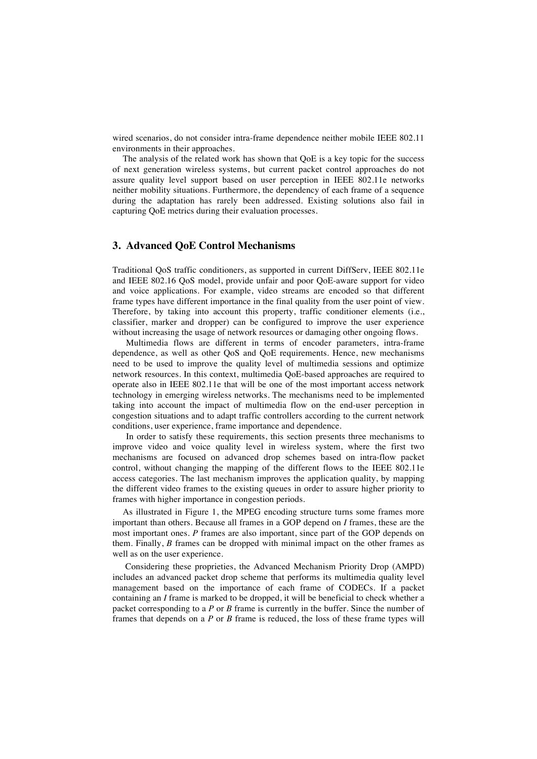wired scenarios, do not consider intra-frame dependence neither mobile IEEE 802.11 environments in their approaches.

The analysis of the related work has shown that QoE is a key topic for the success of next generation wireless systems, but current packet control approaches do not assure quality level support based on user perception in IEEE 802.11e networks neither mobility situations. Furthermore, the dependency of each frame of a sequence during the adaptation has rarely been addressed. Existing solutions also fail in capturing QoE metrics during their evaluation processes.

## **3. Advanced QoE Control Mechanisms**

Traditional QoS traffic conditioners, as supported in current DiffServ, IEEE 802.11e and IEEE 802.16 QoS model, provide unfair and poor QoE-aware support for video and voice applications. For example, video streams are encoded so that different frame types have different importance in the final quality from the user point of view. Therefore, by taking into account this property, traffic conditioner elements (i.e., classifier, marker and dropper) can be configured to improve the user experience without increasing the usage of network resources or damaging other ongoing flows.

Multimedia flows are different in terms of encoder parameters, intra-frame dependence, as well as other QoS and QoE requirements. Hence, new mechanisms need to be used to improve the quality level of multimedia sessions and optimize network resources. In this context, multimedia QoE-based approaches are required to operate also in IEEE 802.11e that will be one of the most important access network technology in emerging wireless networks. The mechanisms need to be implemented taking into account the impact of multimedia flow on the end-user perception in congestion situations and to adapt traffic controllers according to the current network conditions, user experience, frame importance and dependence.

In order to satisfy these requirements, this section presents three mechanisms to improve video and voice quality level in wireless system, where the first two mechanisms are focused on advanced drop schemes based on intra-flow packet control, without changing the mapping of the different flows to the IEEE 802.11e access categories. The last mechanism improves the application quality, by mapping the different video frames to the existing queues in order to assure higher priority to frames with higher importance in congestion periods.

As illustrated in Figure 1, the MPEG encoding structure turns some frames more important than others. Because all frames in a GOP depend on *I* frames, these are the most important ones. *P* frames are also important, since part of the GOP depends on them. Finally, *B* frames can be dropped with minimal impact on the other frames as well as on the user experience.

Considering these proprieties, the Advanced Mechanism Priority Drop (AMPD) includes an advanced packet drop scheme that performs its multimedia quality level management based on the importance of each frame of CODECs. If a packet containing an *I* frame is marked to be dropped, it will be beneficial to check whether a packet corresponding to a *P* or *B* frame is currently in the buffer. Since the number of frames that depends on a *P* or *B* frame is reduced, the loss of these frame types will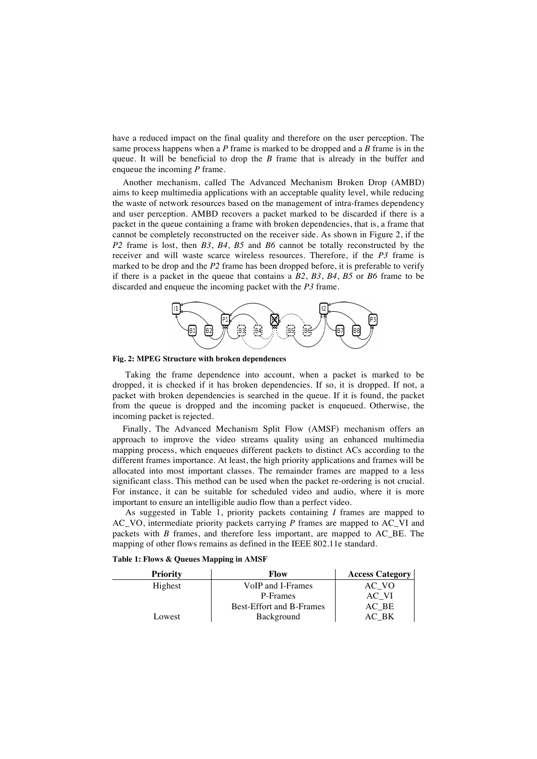have a reduced impact on the final quality and therefore on the user perception. The same process happens when a *P* frame is marked to be dropped and a *B* frame is in the queue. It will be beneficial to drop the *B* frame that is already in the buffer and enqueue the incoming *P* frame.

Another mechanism, called The Advanced Mechanism Broken Drop (AMBD) aims to keep multimedia applications with an acceptable quality level, while reducing the waste of network resources based on the management of intra-frames dependency and user perception. AMBD recovers a packet marked to be discarded if there is a packet in the queue containing a frame with broken dependencies, that is, a frame that cannot be completely reconstructed on the receiver side. As shown in Figure 2, if the *P2* frame is lost, then *B3*, *B4*, *B5* and *B6* cannot be totally reconstructed by the receiver and will waste scarce wireless resources. Therefore, if the *P3* frame is marked to be drop and the *P2* frame has been dropped before, it is preferable to verify if there is a packet in the queue that contains a *B2*, *B3*, *B4*, *B5* or *B6* frame to be discarded and enqueue the incoming packet with the *P3* frame.



**Fig. 2: MPEG Structure with broken dependences**

Taking the frame dependence into account, when a packet is marked to be dropped, it is checked if it has broken dependencies. If so, it is dropped. If not, a packet with broken dependencies is searched in the queue. If it is found, the packet from the queue is dropped and the incoming packet is enqueued. Otherwise, the incoming packet is rejected.

Finally, The Advanced Mechanism Split Flow (AMSF) mechanism offers an approach to improve the video streams quality using an enhanced multimedia mapping process, which enqueues different packets to distinct ACs according to the different frames importance. At least, the high priority applications and frames will be allocated into most important classes. The remainder frames are mapped to a less significant class. This method can be used when the packet re-ordering is not crucial. For instance, it can be suitable for scheduled video and audio, where it is more important to ensure an intelligible audio flow than a perfect video.

As suggested in Table 1, priority packets containing *I* frames are mapped to AC\_VO, intermediate priority packets carrying *P* frames are mapped to AC\_VI and packets with *B* frames, and therefore less important, are mapped to AC\_BE. The mapping of other flows remains as defined in the IEEE 802.11e standard.

**Table 1: Flows & Queues Mapping in AMSF**

| <b>Priority</b> | Flow                            | <b>Access Category</b> |
|-----------------|---------------------------------|------------------------|
| Highest         | VoIP and I-Frames               | AC VO                  |
|                 | P-Frames                        | AC VI                  |
|                 | <b>Best-Effort and B-Frames</b> | AC BE                  |
| Lowest          | Background                      | AC BK                  |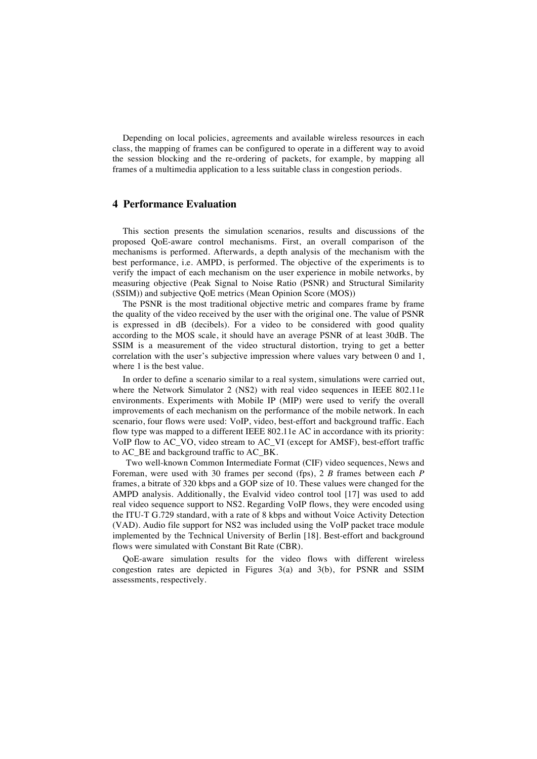Depending on local policies, agreements and available wireless resources in each class, the mapping of frames can be configured to operate in a different way to avoid the session blocking and the re-ordering of packets, for example, by mapping all frames of a multimedia application to a less suitable class in congestion periods.

## **4 Performance Evaluation**

This section presents the simulation scenarios, results and discussions of the proposed QoE-aware control mechanisms. First, an overall comparison of the mechanisms is performed. Afterwards, a depth analysis of the mechanism with the best performance, i.e. AMPD, is performed. The objective of the experiments is to verify the impact of each mechanism on the user experience in mobile networks, by measuring objective (Peak Signal to Noise Ratio (PSNR) and Structural Similarity (SSIM)) and subjective QoE metrics (Mean Opinion Score (MOS))

The PSNR is the most traditional objective metric and compares frame by frame the quality of the video received by the user with the original one. The value of PSNR is expressed in dB (decibels). For a video to be considered with good quality according to the MOS scale, it should have an average PSNR of at least 30dB. The SSIM is a measurement of the video structural distortion, trying to get a better correlation with the user's subjective impression where values vary between 0 and 1, where 1 is the best value.

In order to define a scenario similar to a real system, simulations were carried out, where the Network Simulator 2 (NS2) with real video sequences in IEEE 802.11e environments. Experiments with Mobile IP (MIP) were used to verify the overall improvements of each mechanism on the performance of the mobile network. In each scenario, four flows were used: VoIP, video, best-effort and background traffic. Each flow type was mapped to a different IEEE 802.11e AC in accordance with its priority: VoIP flow to AC\_VO, video stream to AC\_VI (except for AMSF), best-effort traffic to AC\_BE and background traffic to AC\_BK.

Two well-known Common Intermediate Format (CIF) video sequences, News and Foreman, were used with 30 frames per second (fps), 2 *B* frames between each *P* frames, a bitrate of 320 kbps and a GOP size of 10. These values were changed for the AMPD analysis. Additionally, the Evalvid video control tool [17] was used to add real video sequence support to NS2. Regarding VoIP flows, they were encoded using the ITU-T G.729 standard, with a rate of 8 kbps and without Voice Activity Detection (VAD). Audio file support for NS2 was included using the VoIP packet trace module implemented by the Technical University of Berlin [18]. Best-effort and background flows were simulated with Constant Bit Rate (CBR).

QoE-aware simulation results for the video flows with different wireless congestion rates are depicted in Figures  $3(a)$  and  $3(b)$ , for PSNR and SSIM assessments, respectively.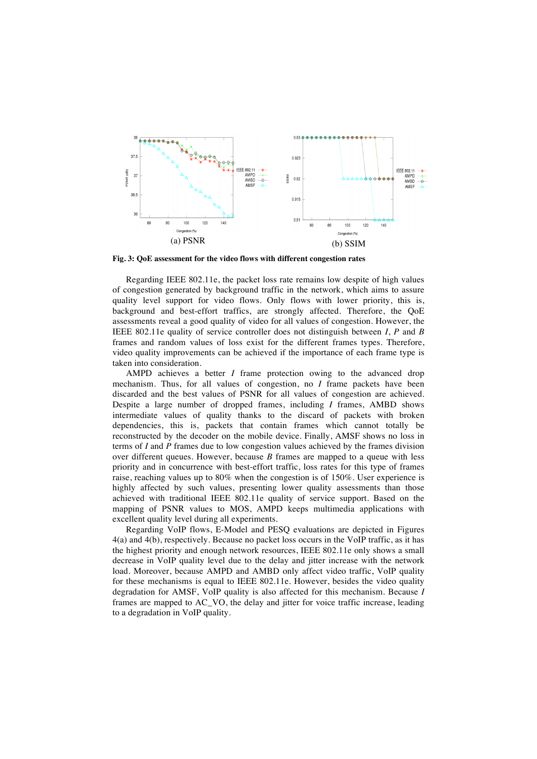

**Fig. 3: QoE assessment for the video flows with different congestion rates**

Regarding IEEE 802.11e, the packet loss rate remains low despite of high values of congestion generated by background traffic in the network, which aims to assure quality level support for video flows. Only flows with lower priority, this is, background and best-effort traffics, are strongly affected. Therefore, the QoE assessments reveal a good quality of video for all values of congestion. However, the IEEE 802.11e quality of service controller does not distinguish between *I*, *P* and *B* frames and random values of loss exist for the different frames types. Therefore, video quality improvements can be achieved if the importance of each frame type is taken into consideration.

AMPD achieves a better *I* frame protection owing to the advanced drop mechanism. Thus, for all values of congestion, no *I* frame packets have been discarded and the best values of PSNR for all values of congestion are achieved. Despite a large number of dropped frames, including *I* frames, AMBD shows intermediate values of quality thanks to the discard of packets with broken dependencies, this is, packets that contain frames which cannot totally be reconstructed by the decoder on the mobile device. Finally, AMSF shows no loss in terms of *I* and *P* frames due to low congestion values achieved by the frames division over different queues. However, because *B* frames are mapped to a queue with less priority and in concurrence with best-effort traffic, loss rates for this type of frames raise, reaching values up to 80% when the congestion is of 150%. User experience is highly affected by such values, presenting lower quality assessments than those achieved with traditional IEEE 802.11e quality of service support. Based on the mapping of PSNR values to MOS, AMPD keeps multimedia applications with excellent quality level during all experiments.

Regarding VoIP flows, E-Model and PESQ evaluations are depicted in Figures 4(a) and 4(b), respectively. Because no packet loss occurs in the VoIP traffic, as it has the highest priority and enough network resources, IEEE 802.11e only shows a small decrease in VoIP quality level due to the delay and jitter increase with the network load. Moreover, because AMPD and AMBD only affect video traffic, VoIP quality for these mechanisms is equal to IEEE 802.11e. However, besides the video quality degradation for AMSF, VoIP quality is also affected for this mechanism. Because *I* frames are mapped to AC\_VO, the delay and jitter for voice traffic increase, leading to a degradation in VoIP quality.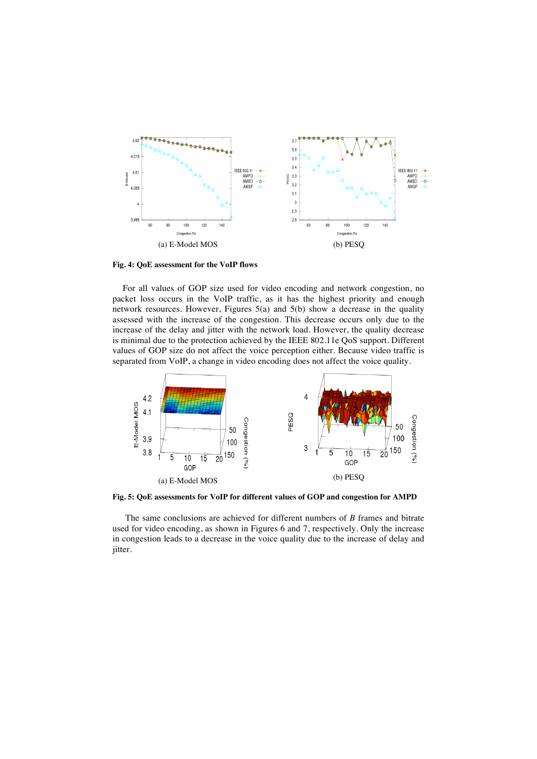

**Fig. 4: QoE assessment for the VoIP flows**

For all values of GOP size used for video encoding and network congestion, no packet loss occurs in the VoIP traffic, as it has the highest priority and enough network resources. However, Figures 5(a) and 5(b) show a decrease in the quality assessed with the increase of the congestion. This decrease occurs only due to the increase of the delay and jitter with the network load. However, the quality decrease is minimal due to the protection achieved by the IEEE 802.11e QoS support. Different values of GOP size do not affect the voice perception either. Because video traffic is separated from VoIP, a change in video encoding does not affect the voice quality.



**Fig. 5: QoE assessments for VoIP for different values of GOP and congestion for AMPD**

The same conclusions are achieved for different numbers of *B* frames and bitrate used for video encoding, as shown in Figures 6 and 7, respectively. Only the increase in congestion leads to a decrease in the voice quality due to the increase of delay and jitter.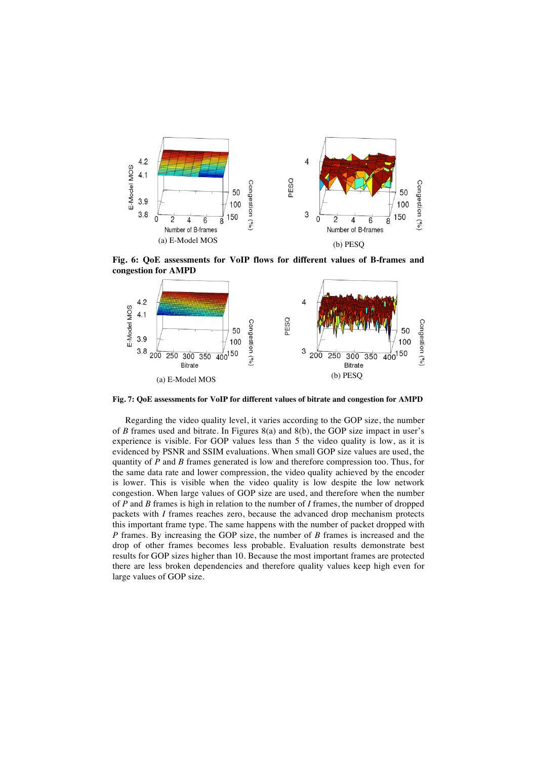

**Fig. 6: QoE assessments for VoIP flows for different values of B-frames and congestion for AMPD**



**Fig. 7: QoE assessments for VoIP for different values of bitrate and congestion for AMPD**

Regarding the video quality level, it varies according to the GOP size, the number of *B* frames used and bitrate. In Figures 8(a) and 8(b), the GOP size impact in user's experience is visible. For GOP values less than 5 the video quality is low, as it is evidenced by PSNR and SSIM evaluations. When small GOP size values are used, the quantity of *P* and *B* frames generated is low and therefore compression too. Thus, for the same data rate and lower compression, the video quality achieved by the encoder is lower. This is visible when the video quality is low despite the low network congestion. When large values of GOP size are used, and therefore when the number of *P* and *B* frames is high in relation to the number of *I* frames, the number of dropped packets with *I* frames reaches zero, because the advanced drop mechanism protects this important frame type. The same happens with the number of packet dropped with *P* frames. By increasing the GOP size, the number of *B* frames is increased and the drop of other frames becomes less probable. Evaluation results demonstrate best results for GOP sizes higher than 10. Because the most important frames are protected there are less broken dependencies and therefore quality values keep high even for large values of GOP size.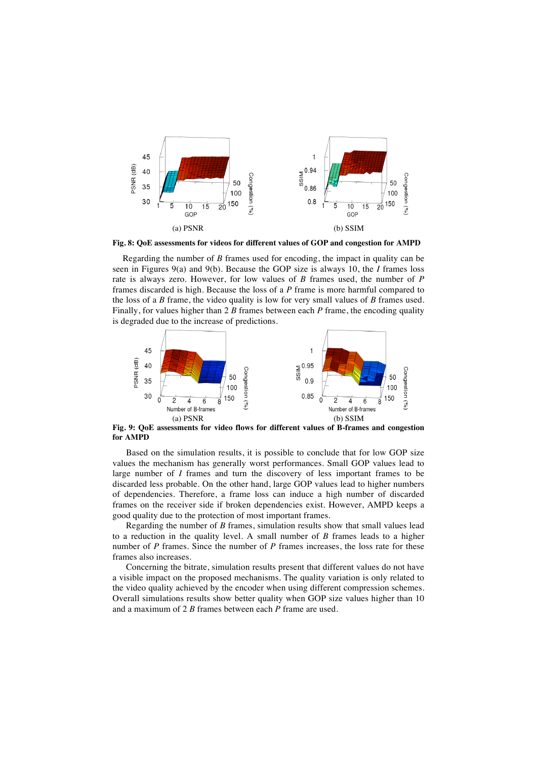

**Fig. 8: QoE assessments for videos for different values of GOP and congestion for AMPD**

Regarding the number of *B* frames used for encoding, the impact in quality can be seen in Figures 9(a) and 9(b). Because the GOP size is always 10, the *I* frames loss rate is always zero. However, for low values of *B* frames used, the number of *P* frames discarded is high. Because the loss of a *P* frame is more harmful compared to the loss of a *B* frame, the video quality is low for very small values of *B* frames used. Finally, for values higher than 2 *B* frames between each *P* frame, the encoding quality is degraded due to the increase of predictions.



**Fig. 9: QoE assessments for video flows for different values of B-frames and congestion for AMPD**

Based on the simulation results, it is possible to conclude that for low GOP size values the mechanism has generally worst performances. Small GOP values lead to large number of *I* frames and turn the discovery of less important frames to be discarded less probable. On the other hand, large GOP values lead to higher numbers of dependencies. Therefore, a frame loss can induce a high number of discarded frames on the receiver side if broken dependencies exist. However, AMPD keeps a good quality due to the protection of most important frames.

Regarding the number of *B* frames, simulation results show that small values lead to a reduction in the quality level. A small number of *B* frames leads to a higher number of *P* frames. Since the number of *P* frames increases, the loss rate for these frames also increases.

Concerning the bitrate, simulation results present that different values do not have a visible impact on the proposed mechanisms. The quality variation is only related to the video quality achieved by the encoder when using different compression schemes. Overall simulations results show better quality when GOP size values higher than 10 and a maximum of 2 *B* frames between each *P* frame are used.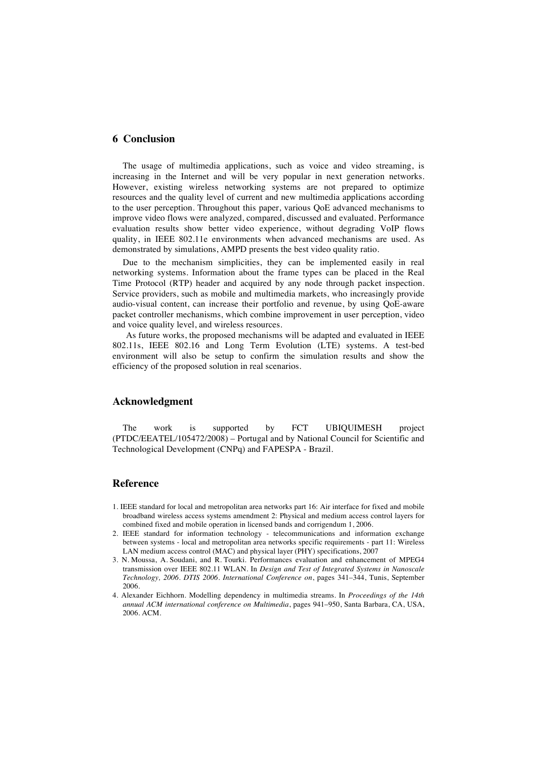## **6 Conclusion**

The usage of multimedia applications, such as voice and video streaming, is increasing in the Internet and will be very popular in next generation networks. However, existing wireless networking systems are not prepared to optimize resources and the quality level of current and new multimedia applications according to the user perception. Throughout this paper, various QoE advanced mechanisms to improve video flows were analyzed, compared, discussed and evaluated. Performance evaluation results show better video experience, without degrading VoIP flows quality, in IEEE 802.11e environments when advanced mechanisms are used. As demonstrated by simulations, AMPD presents the best video quality ratio.

Due to the mechanism simplicities, they can be implemented easily in real networking systems. Information about the frame types can be placed in the Real Time Protocol (RTP) header and acquired by any node through packet inspection. Service providers, such as mobile and multimedia markets, who increasingly provide audio-visual content, can increase their portfolio and revenue, by using QoE-aware packet controller mechanisms, which combine improvement in user perception, video and voice quality level, and wireless resources.

As future works, the proposed mechanisms will be adapted and evaluated in IEEE 802.11s, IEEE 802.16 and Long Term Evolution (LTE) systems. A test-bed environment will also be setup to confirm the simulation results and show the efficiency of the proposed solution in real scenarios.

## **Acknowledgment**

The work is supported by FCT UBIQUIMESH project (PTDC/EEATEL/105472/2008) – Portugal and by National Council for Scientific and Technological Development (CNPq) and FAPESPA - Brazil.

#### **Reference**

- 1. IEEE standard for local and metropolitan area networks part 16: Air interface for fixed and mobile broadband wireless access systems amendment 2: Physical and medium access control layers for combined fixed and mobile operation in licensed bands and corrigendum 1, 2006.
- 2. IEEE standard for information technology telecommunications and information exchange between systems - local and metropolitan area networks specific requirements - part 11: Wireless LAN medium access control (MAC) and physical layer (PHY) specifications, 2007
- 3. N. Moussa, A. Soudani, and R. Tourki. Performances evaluation and enhancement of MPEG4 transmission over IEEE 802.11 WLAN. In *Design and Test of Integrated Systems in Nanoscale Technology, 2006. DTIS 2006. International Conference on*, pages 341–344, Tunis, September 2006.
- 4. Alexander Eichhorn. Modelling dependency in multimedia streams. In *Proceedings of the 14th annual ACM international conference on Multimedia*, pages 941–950, Santa Barbara, CA, USA, 2006. ACM.